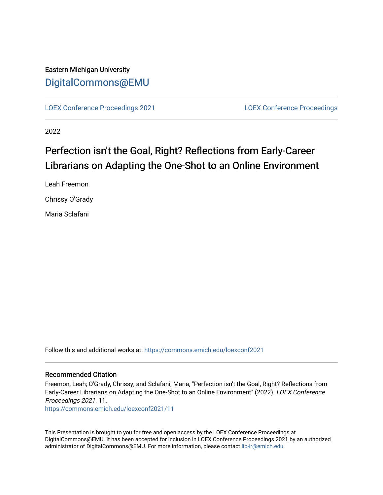### Eastern Michigan University [DigitalCommons@EMU](https://commons.emich.edu/)

[LOEX Conference Proceedings 2021](https://commons.emich.edu/loexconf2021) [LOEX Conference Proceedings](https://commons.emich.edu/loexconf) 

2022

## Perfection isn't the Goal, Right? Reflections from Early-Career Librarians on Adapting the One-Shot to an Online Environment

Leah Freemon

Chrissy O'Grady

Maria Sclafani

Follow this and additional works at: [https://commons.emich.edu/loexconf2021](https://commons.emich.edu/loexconf2021?utm_source=commons.emich.edu%2Floexconf2021%2F11&utm_medium=PDF&utm_campaign=PDFCoverPages) 

#### Recommended Citation

Freemon, Leah; O'Grady, Chrissy; and Sclafani, Maria, "Perfection isn't the Goal, Right? Reflections from Early-Career Librarians on Adapting the One-Shot to an Online Environment" (2022). LOEX Conference Proceedings 2021. 11.

[https://commons.emich.edu/loexconf2021/11](https://commons.emich.edu/loexconf2021/11?utm_source=commons.emich.edu%2Floexconf2021%2F11&utm_medium=PDF&utm_campaign=PDFCoverPages)

This Presentation is brought to you for free and open access by the LOEX Conference Proceedings at DigitalCommons@EMU. It has been accepted for inclusion in LOEX Conference Proceedings 2021 by an authorized administrator of DigitalCommons@EMU. For more information, please contact [lib-ir@emich.edu](mailto:lib-ir@emich.edu).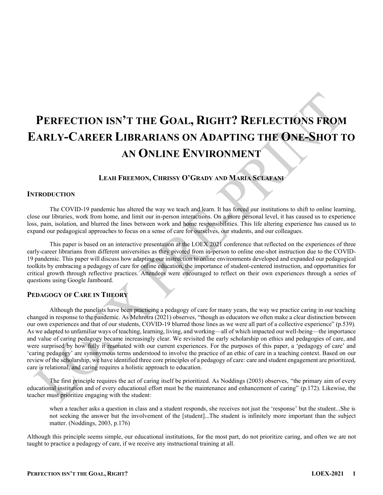# **PERFECTION ISN¶T THE GOAL, RIGHT? REFLECTIONS FROM EARLY-CAREER LIBRARIANS ON ADAPTING THE ONE-SHOT TO AN ONLINE ENVIRONMENT**

#### LEAH FREEMON, CHRISSY O'GRADY AND MARIA SCLAFANI

#### **INTRODUCTION**

The COVID-19 pandemic has altered the way we teach and learn. It has forced our institutions to shift to online learning, close our libraries, work from home, and limit our in-person interactions. On a more personal level, it has caused us to experience loss, pain, isolation, and blurred the lines between work and home responsibilities. This life altering experience has caused us to expand our pedagogical approaches to focus on a sense of care for ourselves, our students, and our colleagues.

This paper is based on an interactive presentation at the LOEX 2021 conference that reflected on the experiences of three early-career librarians from different universities as they pivoted from in-person to online one-shot instruction due to the COVID-19 pandemic. This paper will discuss how adapting our instruction to online environments developed and expanded our pedagogical toolkits by embracing a pedagogy of care for online education, the importance of student-centered instruction, and opportunities for critical growth through reflective practices. Attendees were encouraged to reflect on their own experiences through a series of questions using Google Jamboard.

#### **PEDAGOGY OF CARE IN THEORY**

Although the panelists have been practicing a pedagogy of care for many years, the way we practice caring in our teaching changed in response to the pandemic. As Mehrotra (2021) observes, "though as educators we often make a clear distinction between our own experiences and that of our students, COVID-19 blurred those lines as we were all part of a collective experience" (p.539). As we adapted to unfamiliar ways of teaching, learning, living, and working—all of which impacted our well-being—the importance and value of caring pedagogy became increasingly clear. We revisited the early scholarship on ethics and pedagogies of care, and were surprised by how fully it resonated with our current experiences. For the purposes of this paper, a 'pedagogy of care' and 'caring pedagogy' are synonymous terms understood to involve the practice of an ethic of care in a teaching context. Based on our review of the scholarship, we have identified three core principles of a pedagogy of care: care and student engagement are prioritized, care is relational, and caring requires a holistic approach to education.

The first principle requires the act of caring itself be prioritized. As Noddings (2003) observes, "the primary aim of every educational institution and of every educational effort must be the maintenance and enhancement of caring" (p.172). Likewise, the teacher must prioritize engaging with the student:

when a teacher asks a question in class and a student responds, she receives not just the 'response' but the student...She is not seeking the answer but the involvement of the [student]...The student is infinitely more important than the subject matter. (Noddings, 2003, p.176)

Although this principle seems simple, our educational institutions, for the most part, do not prioritize caring, and often we are not taught to practice a pedagogy of care, if we receive any instructional training at all.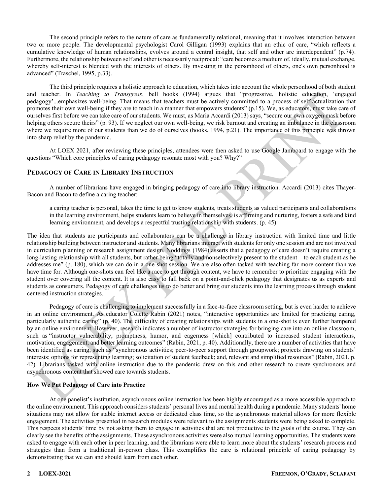The second principle refers to the nature of care as fundamentally relational, meaning that it involves interaction between two or more people. The developmental psychologist Carol Gilligan (1993) explains that an ethic of care, "which reflects a cumulative knowledge of human relationships, evolves around a central insight, that self and other are interdependent" (p.74). Furthermore, the relationship between self and other is necessarily reciprocal: "care becomes a medium of, ideally, mutual exchange, whereby self-interest is blended with the interests of others. By investing in the personhood of others, one's own personhood is advanced" (Traschel, 1995, p.33).

The third principle requires a holistic approach to education, which takes into account the whole personhood of both student and teacher. In *Teaching to Transgress*, bell hooks (1994) argues that "progressive, holistic education, 'engaged pedagogy'...emphasizes well-being. That means that teachers must be actively committed to a process of self-actualization that promotes their own well-being if they are to teach in a manner that empowers students" (p.15). We, as educators, must take care of ourselves first before we can take care of our students. We must, as Maria Accardi (2013) says, "secure our own oxygen mask before helping others secure theirs" (p. 93). If we neglect our own well-being, we risk burnout and creating an imbalance in the classroom where we require more of our students than we do of ourselves (hooks, 1994, p.21). The importance of this principle was thrown into sharp relief by the pandemic.

At LOEX 2021, after reviewing these principles, attendees were then asked to use Google Jamboard to engage with the questions "Which core principles of caring pedagogy resonate most with you? Why?"

#### **PEDAGOGY OF CARE IN LIBRARY INSTRUCTION**

A number of librarians have engaged in bringing pedagogy of care into library instruction. Accardi (2013) cites Thayer-Bacon and Bacon to define a caring teacher:

a caring teacher is personal, takes the time to get to know students, treats students as valued participants and collaborations in the learning environment, helps students learn to believe in themselves, is affirming and nurturing, fosters a safe and kind learning environment, and develops a respectful trusting relationship with students. (p. 45)

The idea that students are participants and collaborators can be a challenge in library instruction with limited time and little relationship building between instructor and students. Many librarians interact with students for only one session and are not involved in curriculum planning or research assignment design. Noddings (1984) asserts that a pedagogy of care doesn't require creating a long-lasting relationship with all students, but rather being "totally and nonselectively present to the student-to each student-as he addresses me" (p. 180), which we can do in a one-shot session. We are also often tasked with teaching far more content than we have time for. Although one-shots can feel like a race to get through content, we have to remember to prioritize engaging with the student over covering all the content. It is also easy to fall back on a point-and-click pedagogy that designates us as experts and students as consumers. Pedagogy of care challenges us to do better and bring our students into the learning process through student centered instruction strategies.

Pedagogy of care is challenging to implement successfully in a face-to-face classroom setting, but is even harder to achieve in an online environment. As educator Colette Rabin (2021) notes, "interactive opportunities are limited for practicing caring, particularly authentic caring" (p. 40). The difficulty of creating relationships with students in a one-shot is even further hampered by an online environment. However, research indicates a number of instructor strategies for bringing care into an online classroom, such as "instructor vulnerability, promptness, humor, and eagerness [which] contributed to increased student interactions, motivation, engagement, and better learning outcomes" (Rabin, 2021, p. 40). Additionally, there are a number of activities that have been identified as caring, such as "synchronous activities; peer-to-peer support through groupwork; projects drawing on students' interests; options for representing learning; solicitation of student feedback; and, relevant and simplified resources" (Rabin, 2021, p. 42). Librarians tasked with online instruction due to the pandemic drew on this and other research to create synchronous and asynchronous content that showed care towards students.

#### **How We Put Pedagogy of Care into Practice**

At one panelist's institution, asynchronous online instruction has been highly encouraged as a more accessible approach to the online environment. This approach considers students' personal lives and mental health during a pandemic. Many students' home situations may not allow for stable internet access or dedicated class time, so the asynchronous material allows for more flexible engagement. The activities presented in research modules were relevant to the assignments students were being asked to complete. This respects students' time by not asking them to engage in activities that are not productive to the goals of the course. They can clearly see the benefits of the assignments. These asynchronous activities were also mutual learning opportunities. The students were asked to engage with each other in peer learning, and the librarians were able to learn more about the students' research process and strategies than from a traditional in-person class. This exemplifies the care is relational principle of caring pedagogy by demonstrating that we can and should learn from each other.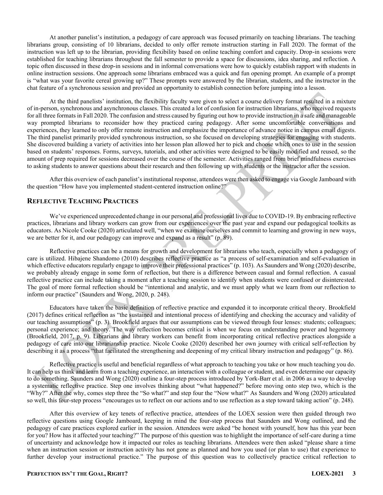At another panelist's institution, a pedagogy of care approach was focused primarily on teaching librarians. The teaching librarians group, consisting of 10 librarians, decided to only offer remote instruction starting in Fall 2020. The format of the instruction was left up to the librarian, providing flexibility based on online teaching comfort and capacity. Drop-in sessions were established for teaching librarians throughout the fall semester to provide a space for discussions, idea sharing, and reflection. A topic often discussed in these drop-in sessions and in informal conversations were how to quickly establish rapport with students in online instruction sessions. One approach some librarians embraced was a quick and fun opening prompt. An example of a prompt is "what was your favorite cereal growing up?" These prompts were answered by the librarian, students, and the instructor in the chat feature of a synchronous session and provided an opportunity to establish connection before jumping into a lesson.

At the third panelists' institution, the flexibility faculty were given to select a course delivery format resulted in a mixture of in-person, synchronous and asynchronous classes. This created a lot of confusion for instruction librarians, who received requests for all three formats in Fall 2020. The confusion and stress caused by figuring out how to provide instruction in a safe and manageable way prompted librarians to reconsider how they practiced caring pedagogy. After some uncomfortable conversations and experiences, they learned to only offer remote instruction and emphasize the importance of advance notice in campus email digests. The third panelist primarily provided synchronous instruction, so she focused on developing strategies for engaging with students. She discovered building a variety of activities into her lesson plan allowed her to pick and choose which ones to use in the session based on students' responses. Forms, surveys, tutorials, and other activities were designed to be easily modified and reused, so the amount of prep required for sessions decreased over the course of the semester. Activities ranged from brief mindfulness exercises to asking students to answer questions about their research and then following up with students or the instructor after the session.

After this overview of each panelist's institutional response, attendees were then asked to engage via Google Jamboard with the question "How have you implemented student-centered instruction online?"

#### **REFLECTIVE TEACHING PRACTICES**

We've experienced unprecedented change in our personal and professional lives due to COVID-19. By embracing reflective practices, librarians and library workers can grow from our experiences over the past year and expand our pedagogical toolkits as educators. As Nicole Cooke (2020) articulated well, "when we examine ourselves and commit to learning and growing in new ways, we are better for it, and our pedagogy can improve and expand as a result" (p. 89).

Reflective practices can be a means for growth and development for librarians who teach, especially when a pedagogy of care is utilized. Hibajene Shandomo (2010) describes reflective practice as "a process of self-examination and self-evaluation in which effective educators regularly engage to improve their professional practices" (p. 103). As Saunders and Wong (2020) describe, we probably already engage in some form of reflection, but there is a difference between casual and formal reflection. A casual reflective practice can include taking a moment after a teaching session to identify when students were confused or disinterested. The goal of more formal reflection should be "intentional and analytic, and we must apply what we learn from our reflection to inform our practice" (Saunders and Wong, 2020, p. 248).

Educators have taken the basic definition of reflective practice and expanded it to incorporate critical theory. Brookfield (2017) defines critical reflection as "the sustained and intentional process of identifying and checking the accuracy and validity of our teaching assumptions´ (p. 3). Brookfield argues that our assumptions can be viewed through four lenses: students; colleagues; personal experience; and theory. The way reflection becomes critical is when we focus on understanding power and hegemony (Brookfield, 2017, p. 9). Librarians and library workers can benefit from incorporating critical reflective practices alongside a pedagogy of care into our librarianship practice. Nicole Cooke (2020) described her own journey with critical self-reflection by describing it as a process "that facilitated the strengthening and deepening of my critical library instruction and pedagogy" (p. 86).

Reflective practice is useful and beneficial regardless of what approach to teaching you take or how much teaching you do. It can help us think and learn from a teaching experience, an interaction with a colleague or student, and even determine our capacity to do something. Saunders and Wong (2020) outline a four-step process introduced by York-Barr et al. in 2006 as a way to develop a systematic reflective practice. Step one involves thinking about "what happened?" before moving onto step two, which is the "Why?" After the why, comes step three the "So what?" and step four the "Now what?" As Saunders and Wong (2020) articulated so well, this four-step process "encourages us to reflect on our actions and to use reflection as a step toward taking action" (p. 248).

After this overview of key tenets of reflective practice, attendees of the LOEX session were then guided through two reflective questions using Google Jamboard, keeping in mind the four-step process that Saunders and Wong outlined, and the pedagogy of care practices explored earlier in the session. Attendees were asked "be honest with yourself, how has this year been for you? How has it affected your teaching?" The purpose of this question was to highlight the importance of self-care during a time of uncertainty and acknowledge how it impacted our roles as teaching librarians. Attendees were then asked "please share a time when an instruction session or instruction activity has not gone as planned and how you used (or plan to use) that experience to further develop your instructional practice." The purpose of this question was to collectively practice critical reflection to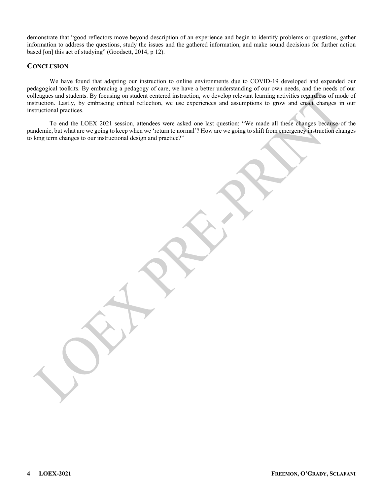demonstrate that "good reflectors move beyond description of an experience and begin to identify problems or questions, gather information to address the questions, study the issues and the gathered information, and make sound decisions for further action based [on] this act of studying" (Goodsett, 2014, p 12).

#### **CONCLUSION**

We have found that adapting our instruction to online environments due to COVID-19 developed and expanded our pedagogical toolkits. By embracing a pedagogy of care, we have a better understanding of our own needs, and the needs of our colleagues and students. By focusing on student centered instruction, we develop relevant learning activities regardless of mode of instruction. Lastly, by embracing critical reflection, we use experiences and assumptions to grow and enact changes in our instructional practices.

To end the LOEX 2021 session, attendees were asked one last question: "We made all these changes because of the pandemic, but what are we going to keep when we 'return to normal'? How are we going to shift from emergency instruction changes to long term changes to our instructional design and practice?"